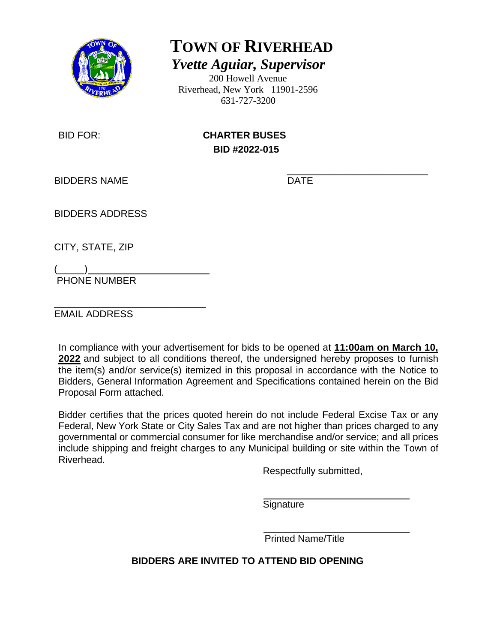

**TOWN OF RIVERHEAD**

*Yvette Aguiar, Supervisor*

200 Howell Avenue Riverhead, New York 11901-2596 631-727-3200

BID FOR: **CHARTER BUSES BID #2022-015** 

\_\_\_\_\_\_\_\_\_\_\_\_\_\_\_\_\_\_\_\_\_\_\_\_\_\_ BIDDERS NAME DATE

BIDDERS ADDRESS

CITY, STATE, ZIP

 $(\_\_)$ PHONE NUMBER

\_\_\_\_\_\_\_\_\_\_\_\_\_\_\_\_\_\_\_\_\_\_\_\_\_\_\_\_ EMAIL ADDRESS

In compliance with your advertisement for bids to be opened at **11:00am on March 10, 2022** and subject to all conditions thereof, the undersigned hereby proposes to furnish the item(s) and/or service(s) itemized in this proposal in accordance with the Notice to Bidders, General Information Agreement and Specifications contained herein on the Bid Proposal Form attached.

Bidder certifies that the prices quoted herein do not include Federal Excise Tax or any Federal, New York State or City Sales Tax and are not higher than prices charged to any governmental or commercial consumer for like merchandise and/or service; and all prices include shipping and freight charges to any Municipal building or site within the Town of Riverhead.

Respectfully submitted,

**Signature** 

Printed Name/Title

**BIDDERS ARE INVITED TO ATTEND BID OPENING**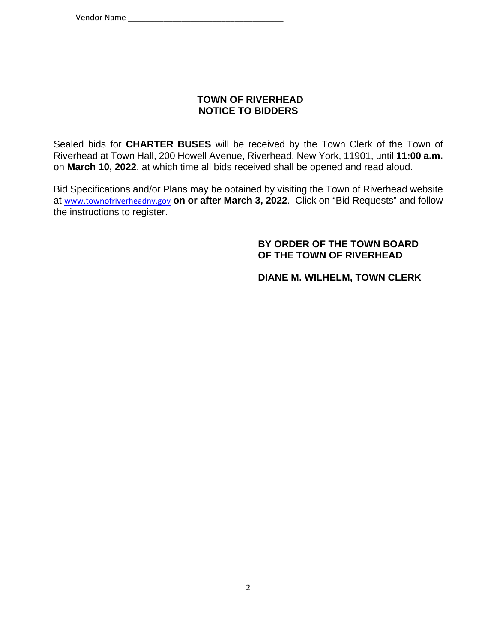# **TOWN OF RIVERHEAD NOTICE TO BIDDERS**

Sealed bids for **CHARTER BUSES** will be received by the Town Clerk of the Town of Riverhead at Town Hall, 200 Howell Avenue, Riverhead, New York, 11901, until **11:00 a.m.** on **March 10, 2022**, at which time all bids received shall be opened and read aloud.

Bid Specifications and/or Plans may be obtained by visiting the Town of Riverhead website at www.townofriverheadny.gov **on or after March 3, 2022**. Click on "Bid Requests" and follow the instructions to register.

#### **BY ORDER OF THE TOWN BOARD OF THE TOWN OF RIVERHEAD**

#### **DIANE M. WILHELM, TOWN CLERK**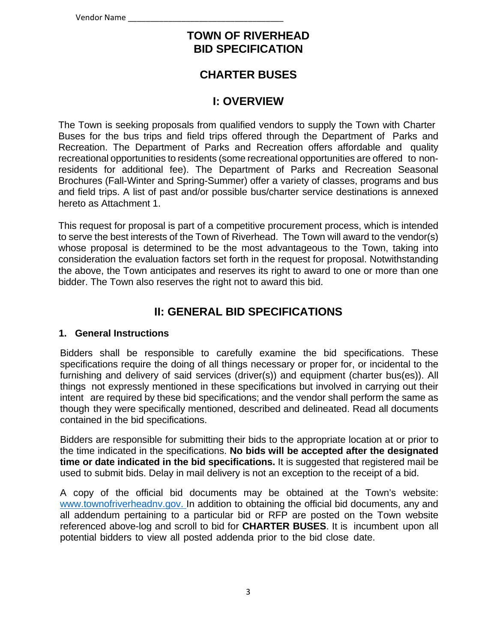# **TOWN OF RIVERHEAD BID SPECIFICATION**

# **CHARTER BUSES**

# **I: OVERVIEW**

The Town is seeking proposals from qualified vendors to supply the Town with Charter Buses for the bus trips and field trips offered through the Department of Parks and Recreation. The Department of Parks and Recreation offers affordable and quality recreational opportunities to residents (some recreational opportunities are offered to nonresidents for additional fee). The Department of Parks and Recreation Seasonal Brochures (Fall-Winter and Spring-Summer) offer a variety of classes, programs and bus and field trips. A list of past and/or possible bus/charter service destinations is annexed hereto as Attachment 1.

This request for proposal is part of a competitive procurement process, which is intended to serve the best interests of the Town of Riverhead. The Town will award to the vendor(s) whose proposal is determined to be the most advantageous to the Town, taking into consideration the evaluation factors set forth in the request for proposal. Notwithstanding the above, the Town anticipates and reserves its right to award to one or more than one bidder. The Town also reserves the right not to award this bid.

# **II: GENERAL BID SPECIFICATIONS**

#### **1. General Instructions**

Bidders shall be responsible to carefully examine the bid specifications. These specifications require the doing of all things necessary or proper for, or incidental to the furnishing and delivery of said services (driver(s)) and equipment (charter bus(es)). All things not expressly mentioned in these specifications but involved in carrying out their intent are required by these bid specifications; and the vendor shall perform the same as though they were specifically mentioned, described and delineated. Read all documents contained in the bid specifications.

Bidders are responsible for submitting their bids to the appropriate location at or prior to the time indicated in the specifications. **No bids will be accepted after the designated time or date indicated in the bid specifications.** It is suggested that registered mail be used to submit bids. Delay in mail delivery is not an exception to the receipt of a bid.

A copy of the official bid documents may be obtained at the Town's website: www.townofriverheadnv.gov. In addition to obtaining the official bid documents, any and all addendum pertaining to a particular bid or RFP are posted on the Town website referenced above-log and scroll to bid for **CHARTER BUSES**. It is incumbent upon all potential bidders to view all posted addenda prior to the bid close date.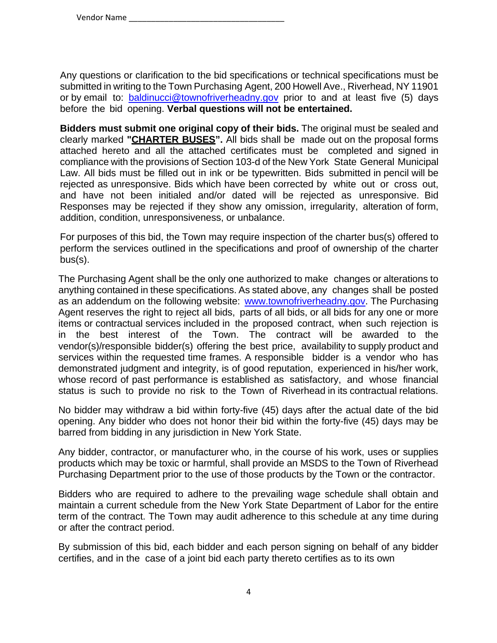Any questions or clarification to the bid specifications or technical specifications must be submitted in writing to the Town Purchasing Agent, 200 Howell Ave., Riverhead, NY 11901 or by email to: baldinucci@townofriverheadny.gov prior to and at least five (5) days before the bid opening. **Verbal questions will not be entertained.**

**Bidders must submit one original copy of their bids.** The original must be sealed and clearly marked **"CHARTER BUSES".** All bids shall be made out on the proposal forms attached hereto and all the attached certificates must be completed and signed in compliance with the provisions of Section 103-d of the New York State General Municipal Law. All bids must be filled out in ink or be typewritten. Bids submitted in pencil will be rejected as unresponsive. Bids which have been corrected by white out or cross out, and have not been initialed and/or dated will be rejected as unresponsive. Bid Responses may be rejected if they show any omission, irregularity, alteration of form, addition, condition, unresponsiveness, or unbalance.

For purposes of this bid, the Town may require inspection of the charter bus(s) offered to perform the services outlined in the specifications and proof of ownership of the charter bus(s).

The Purchasing Agent shall be the only one authorized to make changes or alterations to anything contained in these specifications. As stated above, any changes shall be posted as an addendum on the following website: www.townofriverheadny.gov. The Purchasing Agent reserves the right to reject all bids, parts of all bids, or all bids for any one or more items or contractual services included in the proposed contract, when such rejection is in the best interest of the Town. The contract will be awarded to the vendor(s)/responsible bidder(s) offering the best price, availability to supply product and services within the requested time frames. A responsible bidder is a vendor who has demonstrated judgment and integrity, is of good reputation, experienced in his/her work, whose record of past performance is established as satisfactory, and whose financial status is such to provide no risk to the Town of Riverhead in its contractual relations.

No bidder may withdraw a bid within forty-five (45) days after the actual date of the bid opening. Any bidder who does not honor their bid within the forty-five (45) days may be barred from bidding in any jurisdiction in New York State.

Any bidder, contractor, or manufacturer who, in the course of his work, uses or supplies products which may be toxic or harmful, shall provide an MSDS to the Town of Riverhead Purchasing Department prior to the use of those products by the Town or the contractor.

Bidders who are required to adhere to the prevailing wage schedule shall obtain and maintain a current schedule from the New York State Department of Labor for the entire term of the contract. The Town may audit adherence to this schedule at any time during or after the contract period.

By submission of this bid, each bidder and each person signing on behalf of any bidder certifies, and in the case of a joint bid each party thereto certifies as to its own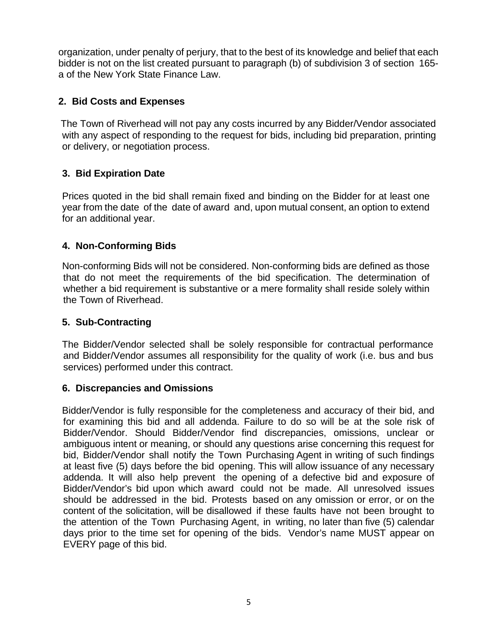organization, under penalty of perjury, that to the best of its knowledge and belief that each bidder is not on the list created pursuant to paragraph (b) of subdivision 3 of section 165 a of the New York State Finance Law.

# **2. Bid Costs and Expenses**

The Town of Riverhead will not pay any costs incurred by any Bidder/Vendor associated with any aspect of responding to the request for bids, including bid preparation, printing or delivery, or negotiation process.

# **3. Bid Expiration Date**

Prices quoted in the bid shall remain fixed and binding on the Bidder for at least one year from the date of the date of award and, upon mutual consent, an option to extend for an additional year.

### **4. Non-Conforming Bids**

Non-conforming Bids will not be considered. Non-conforming bids are defined as those that do not meet the requirements of the bid specification. The determination of whether a bid requirement is substantive or a mere formality shall reside solely within the Town of Riverhead.

#### **5. Sub-Contracting**

The Bidder/Vendor selected shall be solely responsible for contractual performance and Bidder/Vendor assumes all responsibility for the quality of work (i.e. bus and bus services) performed under this contract.

#### **6. Discrepancies and Omissions**

Bidder/Vendor is fully responsible for the completeness and accuracy of their bid, and for examining this bid and all addenda. Failure to do so will be at the sole risk of Bidder/Vendor. Should Bidder/Vendor find discrepancies, omissions, unclear or ambiguous intent or meaning, or should any questions arise concerning this request for bid, Bidder/Vendor shall notify the Town Purchasing Agent in writing of such findings at least five (5) days before the bid opening. This will allow issuance of any necessary addenda. It will also help prevent the opening of a defective bid and exposure of Bidder/Vendor's bid upon which award could not be made. All unresolved issues should be addressed in the bid. Protests based on any omission or error, or on the content of the solicitation, will be disallowed if these faults have not been brought to the attention of the Town Purchasing Agent, in writing, no later than five (5) calendar days prior to the time set for opening of the bids. Vendor's name MUST appear on EVERY page of this bid.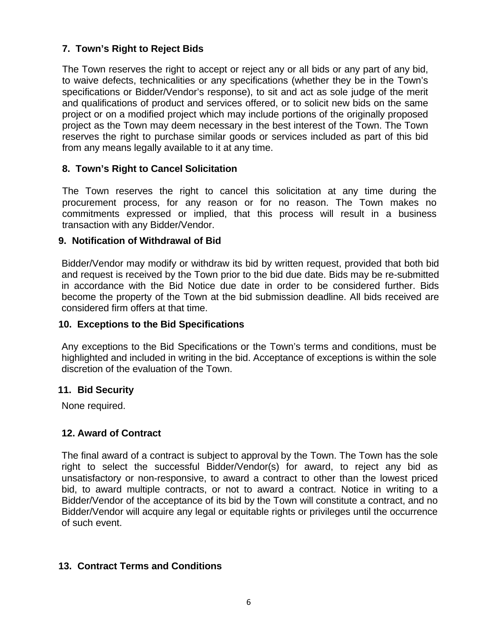# **7. Town's Right to Reject Bids**

The Town reserves the right to accept or reject any or all bids or any part of any bid, to waive defects, technicalities or any specifications (whether they be in the Town's specifications or Bidder/Vendor's response), to sit and act as sole judge of the merit and qualifications of product and services offered, or to solicit new bids on the same project or on a modified project which may include portions of the originally proposed project as the Town may deem necessary in the best interest of the Town. The Town reserves the right to purchase similar goods or services included as part of this bid from any means legally available to it at any time.

# **8. Town's Right to Cancel Solicitation**

The Town reserves the right to cancel this solicitation at any time during the procurement process, for any reason or for no reason. The Town makes no commitments expressed or implied, that this process will result in a business transaction with any Bidder/Vendor.

# **9. Notification of Withdrawal of Bid**

Bidder/Vendor may modify or withdraw its bid by written request, provided that both bid and request is received by the Town prior to the bid due date. Bids may be re-submitted in accordance with the Bid Notice due date in order to be considered further. Bids become the property of the Town at the bid submission deadline. All bids received are considered firm offers at that time.

## **10. Exceptions to the Bid Specifications**

Any exceptions to the Bid Specifications or the Town's terms and conditions, must be highlighted and included in writing in the bid. Acceptance of exceptions is within the sole discretion of the evaluation of the Town.

#### **11. Bid Security**

None required.

# **12. Award of Contract**

The final award of a contract is subject to approval by the Town. The Town has the sole right to select the successful Bidder/Vendor(s) for award, to reject any bid as unsatisfactory or non-responsive, to award a contract to other than the lowest priced bid, to award multiple contracts, or not to award a contract. Notice in writing to a Bidder/Vendor of the acceptance of its bid by the Town will constitute a contract, and no Bidder/Vendor will acquire any legal or equitable rights or privileges until the occurrence of such event.

# **13. Contract Terms and Conditions**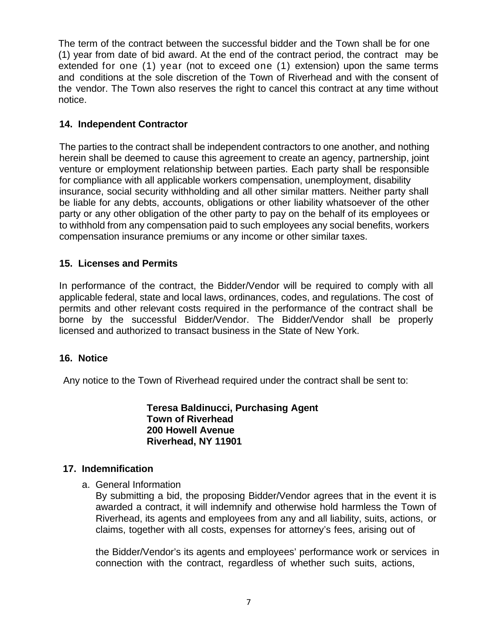The term of the contract between the successful bidder and the Town shall be for one (1) year from date of bid award. At the end of the contract period, the contract may be extended for one (1) year (not to exceed one (1) extension) upon the same terms and conditions at the sole discretion of the Town of Riverhead and with the consent of the vendor. The Town also reserves the right to cancel this contract at any time without notice.

# **14. Independent Contractor**

The parties to the contract shall be independent contractors to one another, and nothing herein shall be deemed to cause this agreement to create an agency, partnership, joint venture or employment relationship between parties. Each party shall be responsible for compliance with all applicable workers compensation, unemployment, disability insurance, social security withholding and all other similar matters. Neither party shall be liable for any debts, accounts, obligations or other liability whatsoever of the other party or any other obligation of the other party to pay on the behalf of its employees or to withhold from any compensation paid to such employees any social benefits, workers compensation insurance premiums or any income or other similar taxes.

# **15. Licenses and Permits**

In performance of the contract, the Bidder/Vendor will be required to comply with all applicable federal, state and local laws, ordinances, codes, and regulations. The cost of permits and other relevant costs required in the performance of the contract shall be borne by the successful Bidder/Vendor. The Bidder/Vendor shall be properly licensed and authorized to transact business in the State of New York.

# **16. Notice**

Any notice to the Town of Riverhead required under the contract shall be sent to:

**Teresa Baldinucci, Purchasing Agent Town of Riverhead 200 Howell Avenue Riverhead, NY 11901**

#### **17. Indemnification**

a. General Information

By submitting a bid, the proposing Bidder/Vendor agrees that in the event it is awarded a contract, it will indemnify and otherwise hold harmless the Town of Riverhead, its agents and employees from any and all liability, suits, actions, or claims, together with all costs, expenses for attorney's fees, arising out of

the Bidder/Vendor's its agents and employees' performance work or services in connection with the contract, regardless of whether such suits, actions,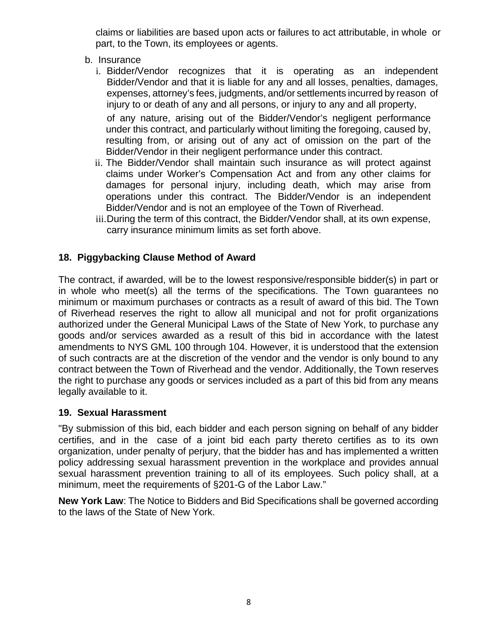claims or liabilities are based upon acts or failures to act attributable, in whole or part, to the Town, its employees or agents.

- b. Insurance
	- i. Bidder/Vendor recognizes that it is operating as an independent Bidder/Vendor and that it is liable for any and all losses, penalties, damages, expenses, attorney's fees, judgments, and/or settlements incurred by reason of injury to or death of any and all persons, or injury to any and all property, of any nature, arising out of the Bidder/Vendor's negligent performance under this contract, and particularly without limiting the foregoing, caused by, resulting from, or arising out of any act of omission on the part of the Bidder/Vendor in their negligent performance under this contract.
	- ii. The Bidder/Vendor shall maintain such insurance as will protect against claims under Worker's Compensation Act and from any other claims for damages for personal injury, including death, which may arise from operations under this contract. The Bidder/Vendor is an independent Bidder/Vendor and is not an employee of the Town of Riverhead.
	- iii. During the term of this contract, the Bidder/Vendor shall, at its own expense, carry insurance minimum limits as set forth above.

# **18. Piggybacking Clause Method of Award**

The contract, if awarded, will be to the lowest responsive/responsible bidder(s) in part or in whole who meet(s) all the terms of the specifications. The Town guarantees no minimum or maximum purchases or contracts as a result of award of this bid. The Town of Riverhead reserves the right to allow all municipal and not for profit organizations authorized under the General Municipal Laws of the State of New York, to purchase any goods and/or services awarded as a result of this bid in accordance with the latest amendments to NYS GML 100 through 104. However, it is understood that the extension of such contracts are at the discretion of the vendor and the vendor is only bound to any contract between the Town of Riverhead and the vendor. Additionally, the Town reserves the right to purchase any goods or services included as a part of this bid from any means legally available to it.

#### **19. Sexual Harassment**

"By submission of this bid, each bidder and each person signing on behalf of any bidder certifies, and in the case of a joint bid each party thereto certifies as to its own organization, under penalty of perjury, that the bidder has and has implemented a written policy addressing sexual harassment prevention in the workplace and provides annual sexual harassment prevention training to all of its employees. Such policy shall, at a minimum, meet the requirements of §201-G of the Labor Law."

**New York Law**: The Notice to Bidders and Bid Specifications shall be governed according to the laws of the State of New York.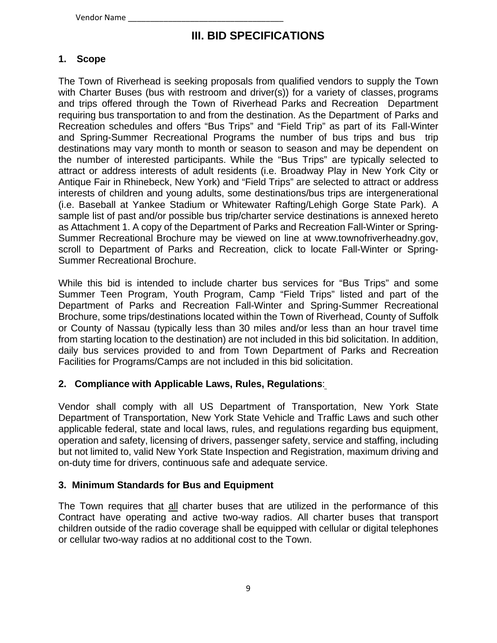Vendor Name

# **III. BID SPECIFICATIONS**

# **1. Scope**

The Town of Riverhead is seeking proposals from qualified vendors to supply the Town with Charter Buses (bus with restroom and driver(s)) for a variety of classes, programs and trips offered through the Town of Riverhead Parks and Recreation Department requiring bus transportation to and from the destination. As the Department of Parks and Recreation schedules and offers "Bus Trips" and "Field Trip" as part of its Fall-Winter and Spring-Summer Recreational Programs the number of bus trips and bus trip destinations may vary month to month or season to season and may be dependent on the number of interested participants. While the "Bus Trips" are typically selected to attract or address interests of adult residents (i.e. Broadway Play in New York City or Antique Fair in Rhinebeck, New York) and "Field Trips" are selected to attract or address interests of children and young adults, some destinations/bus trips are intergenerational (i.e. Baseball at Yankee Stadium or Whitewater Rafting/Lehigh Gorge State Park). A sample list of past and/or possible bus trip/charter service destinations is annexed hereto as Attachment 1. A copy of the Department of Parks and Recreation Fall-Winter or Spring-Summer Recreational Brochure may be viewed on line at www.townofriverheadny.gov, scroll to Department of Parks and Recreation, click to locate Fall-Winter or Spring-Summer Recreational Brochure.

While this bid is intended to include charter bus services for "Bus Trips" and some Summer Teen Program, Youth Program, Camp "Field Trips" listed and part of the Department of Parks and Recreation Fall-Winter and Spring-Summer Recreational Brochure, some trips/destinations located within the Town of Riverhead, County of Suffolk or County of Nassau (typically less than 30 miles and/or less than an hour travel time from starting location to the destination) are not included in this bid solicitation. In addition, daily bus services provided to and from Town Department of Parks and Recreation Facilities for Programs/Camps are not included in this bid solicitation.

# **2. Compliance with Applicable Laws, Rules, Regulations**:

Vendor shall comply with all US Department of Transportation, New York State Department of Transportation, New York State Vehicle and Traffic Laws and such other applicable federal, state and local laws, rules, and regulations regarding bus equipment, operation and safety, licensing of drivers, passenger safety, service and staffing, including but not limited to, valid New York State Inspection and Registration, maximum driving and on-duty time for drivers, continuous safe and adequate service.

# **3. Minimum Standards for Bus and Equipment**

The Town requires that all charter buses that are utilized in the performance of this Contract have operating and active two-way radios. All charter buses that transport children outside of the radio coverage shall be equipped with cellular or digital telephones or cellular two-way radios at no additional cost to the Town.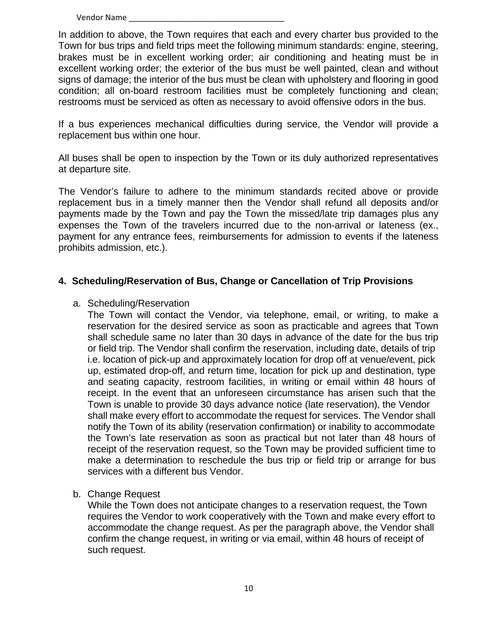In addition to above, the Town requires that each and every charter bus provided to the Town for bus trips and field trips meet the following minimum standards: engine, steering, brakes must be in excellent working order; air conditioning and heating must be in excellent working order; the exterior of the bus must be well painted, clean and without signs of damage; the interior of the bus must be clean with upholstery and flooring in good condition; all on-board restroom facilities must be completely functioning and clean; restrooms must be serviced as often as necessary to avoid offensive odors in the bus.

If a bus experiences mechanical difficulties during service, the Vendor will provide a replacement bus within one hour.

All buses shall be open to inspection by the Town or its duly authorized representatives at departure site.

The Vendor's failure to adhere to the minimum standards recited above or provide replacement bus in a timely manner then the Vendor shall refund all deposits and/or payments made by the Town and pay the Town the missed/late trip damages plus any expenses the Town of the travelers incurred due to the non-arrival or lateness (ex., payment for any entrance fees, reimbursements for admission to events if the lateness prohibits admission, etc.).

### **4. Scheduling/Reservation of Bus, Change or Cancellation of Trip Provisions**

#### a. Scheduling/Reservation

The Town will contact the Vendor, via telephone, email, or writing, to make a reservation for the desired service as soon as practicable and agrees that Town shall schedule same no later than 30 days in advance of the date for the bus trip or field trip. The Vendor shall confirm the reservation, including date, details of trip i.e. location of pick-up and approximately location for drop off at venue/event, pick up, estimated drop-off, and return time, location for pick up and destination, type and seating capacity, restroom facilities, in writing or email within 48 hours of receipt. In the event that an unforeseen circumstance has arisen such that the Town is unable to provide 30 days advance notice (late reservation), the Vendor shall make every effort to accommodate the request for services. The Vendor shall notify the Town of its ability (reservation confirmation) or inability to accommodate the Town's late reservation as soon as practical but not later than 48 hours of receipt of the reservation request, so the Town may be provided sufficient time to make a determination to reschedule the bus trip or field trip or arrange for bus services with a different bus Vendor.

#### b. Change Request

While the Town does not anticipate changes to a reservation request, the Town requires the Vendor to work cooperatively with the Town and make every effort to accommodate the change request. As per the paragraph above, the Vendor shall confirm the change request, in writing or via email, within 48 hours of receipt of such request.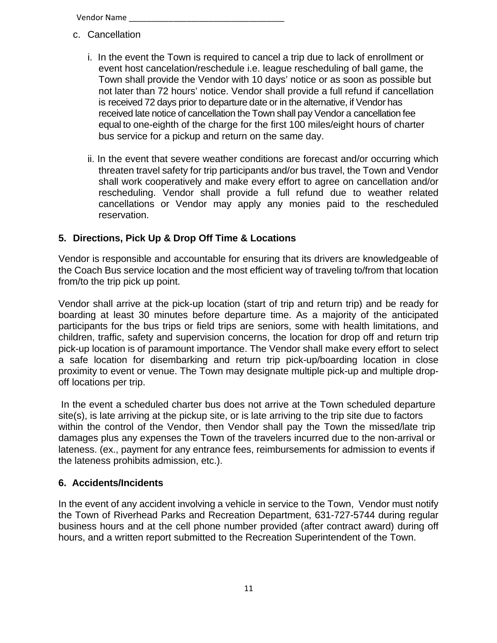- c. Cancellation
	- i. In the event the Town is required to cancel a trip due to lack of enrollment or event host cancelation/reschedule i.e. league rescheduling of ball game, the Town shall provide the Vendor with 10 days' notice or as soon as possible but not later than 72 hours' notice. Vendor shall provide a full refund if cancellation is received 72 days prior to departure date or in the alternative, if Vendor has received late notice of cancellation the Town shall pay Vendor a cancellation fee equal to one-eighth of the charge for the first 100 miles/eight hours of charter bus service for a pickup and return on the same day.
	- ii. In the event that severe weather conditions are forecast and/or occurring which threaten travel safety for trip participants and/or bus travel, the Town and Vendor shall work cooperatively and make every effort to agree on cancellation and/or rescheduling. Vendor shall provide a full refund due to weather related cancellations or Vendor may apply any monies paid to the rescheduled reservation.

# **5. Directions, Pick Up & Drop Off Time & Locations**

Vendor is responsible and accountable for ensuring that its drivers are knowledgeable of the Coach Bus service location and the most efficient way of traveling to/from that location from/to the trip pick up point.

Vendor shall arrive at the pick-up location (start of trip and return trip) and be ready for boarding at least 30 minutes before departure time. As a majority of the anticipated participants for the bus trips or field trips are seniors, some with health limitations, and children, traffic, safety and supervision concerns, the location for drop off and return trip pick-up location is of paramount importance. The Vendor shall make every effort to select a safe location for disembarking and return trip pick-up/boarding location in close proximity to event or venue. The Town may designate multiple pick-up and multiple dropoff locations per trip.

In the event a scheduled charter bus does not arrive at the Town scheduled departure site(s), is late arriving at the pickup site, or is late arriving to the trip site due to factors within the control of the Vendor, then Vendor shall pay the Town the missed/late trip damages plus any expenses the Town of the travelers incurred due to the non-arrival or lateness. (ex., payment for any entrance fees, reimbursements for admission to events if the lateness prohibits admission, etc.).

# **6. Accidents/Incidents**

In the event of any accident involving a vehicle in service to the Town, Vendor must notify the Town of Riverhead Parks and Recreation Department, 631-727-5744 during regular business hours and at the cell phone number provided (after contract award) during off hours, and a written report submitted to the Recreation Superintendent of the Town.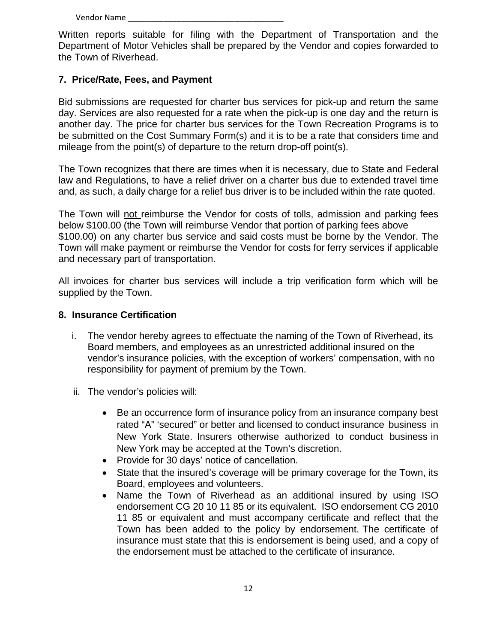Written reports suitable for filing with the Department of Transportation and the Department of Motor Vehicles shall be prepared by the Vendor and copies forwarded to the Town of Riverhead.

### **7. Price/Rate, Fees, and Payment**

Bid submissions are requested for charter bus services for pick-up and return the same day. Services are also requested for a rate when the pick-up is one day and the return is another day. The price for charter bus services for the Town Recreation Programs is to be submitted on the Cost Summary Form(s) and it is to be a rate that considers time and mileage from the point(s) of departure to the return drop-off point(s).

The Town recognizes that there are times when it is necessary, due to State and Federal law and Regulations, to have a relief driver on a charter bus due to extended travel time and, as such, a daily charge for a relief bus driver is to be included within the rate quoted.

The Town will not reimburse the Vendor for costs of tolls, admission and parking fees below \$100.00 (the Town will reimburse Vendor that portion of parking fees above \$100.00) on any charter bus service and said costs must be borne by the Vendor. The Town will make payment or reimburse the Vendor for costs for ferry services if applicable and necessary part of transportation.

All invoices for charter bus services will include a trip verification form which will be supplied by the Town.

#### **8. Insurance Certification**

- i. The vendor hereby agrees to effectuate the naming of the Town of Riverhead, its Board members, and employees as an unrestricted additional insured on the vendor's insurance policies, with the exception of workers' compensation, with no responsibility for payment of premium by the Town.
- ii. The vendor's policies will:
	- Be an occurrence form of insurance policy from an insurance company best rated "A" 'secured" or better and licensed to conduct insurance business in New York State. Insurers otherwise authorized to conduct business in New York may be accepted at the Town's discretion.
	- Provide for 30 days' notice of cancellation.
	- State that the insured's coverage will be primary coverage for the Town, its Board, employees and volunteers.
	- Name the Town of Riverhead as an additional insured by using ISO endorsement CG 20 10 11 85 or its equivalent. ISO endorsement CG 2010 11 85 or equivalent and must accompany certificate and reflect that the Town has been added to the policy by endorsement. The certificate of insurance must state that this is endorsement is being used, and a copy of the endorsement must be attached to the certificate of insurance.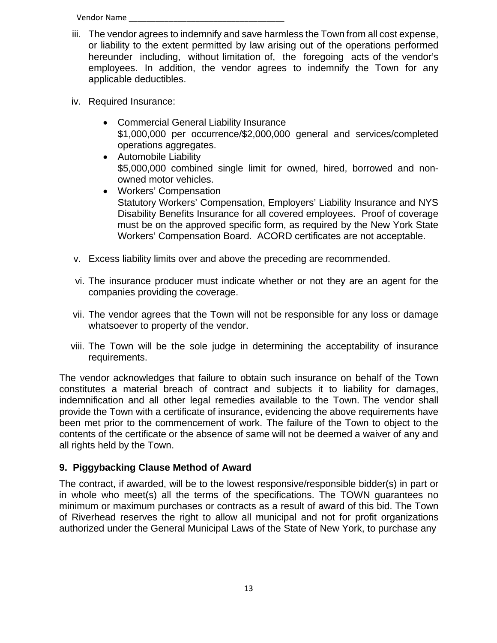- iii. The vendor agrees to indemnify and save harmless the Town from all cost expense, or liability to the extent permitted by law arising out of the operations performed hereunder including, without limitation of, the foregoing acts of the vendor's employees. In addition, the vendor agrees to indemnify the Town for any applicable deductibles.
- iv. Required Insurance:
	- Commercial General Liability Insurance \$1,000,000 per occurrence/\$2,000,000 general and services/completed operations aggregates.
	- Automobile Liability \$5,000,000 combined single limit for owned, hired, borrowed and nonowned motor vehicles.
	- Workers' Compensation Statutory Workers' Compensation, Employers' Liability Insurance and NYS Disability Benefits Insurance for all covered employees. Proof of coverage must be on the approved specific form, as required by the New York State Workers' Compensation Board. ACORD certificates are not acceptable.
- v. Excess liability limits over and above the preceding are recommended.
- vi. The insurance producer must indicate whether or not they are an agent for the companies providing the coverage.
- vii. The vendor agrees that the Town will not be responsible for any loss or damage whatsoever to property of the vendor.
- viii. The Town will be the sole judge in determining the acceptability of insurance requirements.

The vendor acknowledges that failure to obtain such insurance on behalf of the Town constitutes a material breach of contract and subjects it to liability for damages, indemnification and all other legal remedies available to the Town. The vendor shall provide the Town with a certificate of insurance, evidencing the above requirements have been met prior to the commencement of work. The failure of the Town to object to the contents of the certificate or the absence of same will not be deemed a waiver of any and all rights held by the Town.

# **9. Piggybacking Clause Method of Award**

The contract, if awarded, will be to the lowest responsive/responsible bidder(s) in part or in whole who meet(s) all the terms of the specifications. The TOWN guarantees no minimum or maximum purchases or contracts as a result of award of this bid. The Town of Riverhead reserves the right to allow all municipal and not for profit organizations authorized under the General Municipal Laws of the State of New York, to purchase any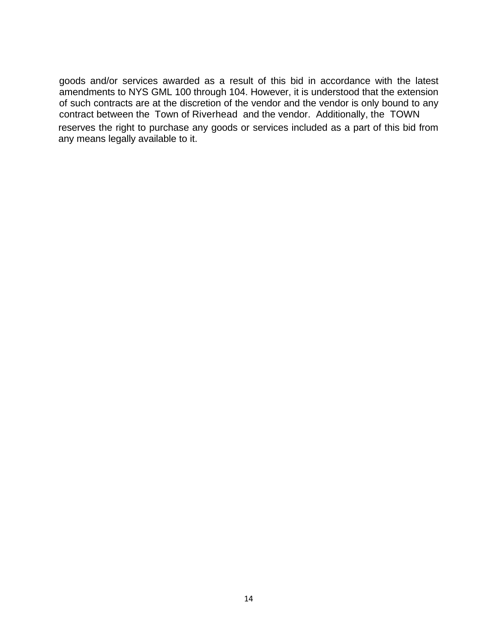goods and/or services awarded as a result of this bid in accordance with the latest amendments to NYS GML 100 through 104. However, it is understood that the extension of such contracts are at the discretion of the vendor and the vendor is only bound to any contract between the Town of Riverhead and the vendor. Additionally, the TOWN reserves the right to purchase any goods or services included as a part of this bid from any means legally available to it.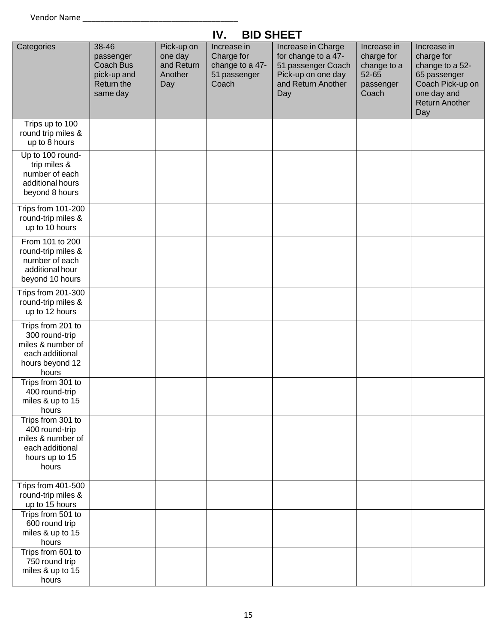# **IV. BID SHEET**

| Categories                                                                                              | 38-46<br>passenger<br>Coach Bus<br>pick-up and<br>Return the<br>same day | Pick-up on<br>one day<br>and Return<br>Another<br>Day | Increase in<br>Charge for<br>change to a 47-<br>51 passenger<br>Coach | Increase in Charge<br>for change to a 47-<br>51 passenger Coach<br>Pick-up on one day<br>and Return Another<br>Day | Increase in<br>charge for<br>change to a<br>52-65<br>passenger<br>Coach | Increase in<br>charge for<br>change to a 52-<br>65 passenger<br>Coach Pick-up on<br>one day and<br><b>Return Another</b><br>Day |
|---------------------------------------------------------------------------------------------------------|--------------------------------------------------------------------------|-------------------------------------------------------|-----------------------------------------------------------------------|--------------------------------------------------------------------------------------------------------------------|-------------------------------------------------------------------------|---------------------------------------------------------------------------------------------------------------------------------|
| Trips up to 100<br>round trip miles &<br>up to 8 hours                                                  |                                                                          |                                                       |                                                                       |                                                                                                                    |                                                                         |                                                                                                                                 |
| Up to 100 round-<br>trip miles &<br>number of each<br>additional hours<br>beyond 8 hours                |                                                                          |                                                       |                                                                       |                                                                                                                    |                                                                         |                                                                                                                                 |
| Trips from 101-200<br>round-trip miles &<br>up to 10 hours                                              |                                                                          |                                                       |                                                                       |                                                                                                                    |                                                                         |                                                                                                                                 |
| From 101 to 200<br>round-trip miles &<br>number of each<br>additional hour<br>beyond 10 hours           |                                                                          |                                                       |                                                                       |                                                                                                                    |                                                                         |                                                                                                                                 |
| Trips from 201-300<br>round-trip miles &<br>up to 12 hours                                              |                                                                          |                                                       |                                                                       |                                                                                                                    |                                                                         |                                                                                                                                 |
| Trips from 201 to<br>300 round-trip<br>miles & number of<br>each additional<br>hours beyond 12<br>hours |                                                                          |                                                       |                                                                       |                                                                                                                    |                                                                         |                                                                                                                                 |
| Trips from 301 to<br>400 round-trip<br>miles & up to 15<br>hours                                        |                                                                          |                                                       |                                                                       |                                                                                                                    |                                                                         |                                                                                                                                 |
| Trips from 301 to<br>400 round-trip<br>miles & number of<br>each additional<br>hours up to 15<br>hours  |                                                                          |                                                       |                                                                       |                                                                                                                    |                                                                         |                                                                                                                                 |
| Trips from 401-500<br>round-trip miles &<br>up to 15 hours                                              |                                                                          |                                                       |                                                                       |                                                                                                                    |                                                                         |                                                                                                                                 |
| Trips from 501 to<br>600 round trip<br>miles & up to 15<br>hours                                        |                                                                          |                                                       |                                                                       |                                                                                                                    |                                                                         |                                                                                                                                 |
| Trips from 601 to<br>750 round trip<br>miles & up to 15<br>hours                                        |                                                                          |                                                       |                                                                       |                                                                                                                    |                                                                         |                                                                                                                                 |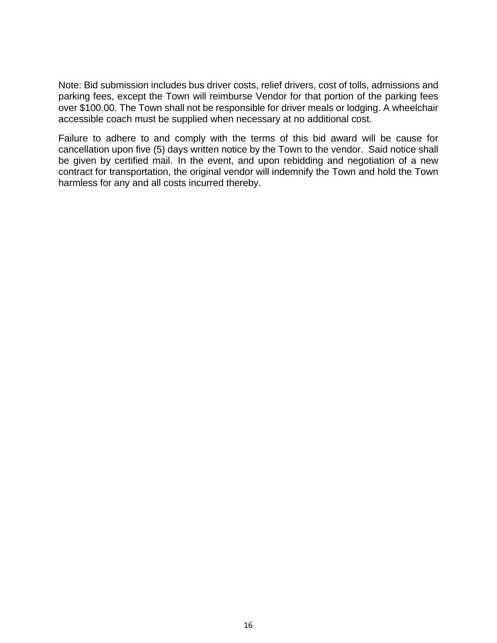Note: Bid submission includes bus driver costs, relief drivers, cost of tolls, admissions and parking fees, except the Town will reimburse Vendor for that portion of the parking fees over \$100.00. The Town shall not be responsible for driver meals or lodging. A wheelchair accessible coach must be supplied when necessary at no additional cost.

Failure to adhere to and comply with the terms of this bid award will be cause for cancellation upon five (5) days written notice by the Town to the vendor. Said notice shall be given by certified mail. In the event, and upon rebidding and negotiation of a new contract for transportation, the original vendor will indemnify the Town and hold the Town harmless for any and all costs incurred thereby.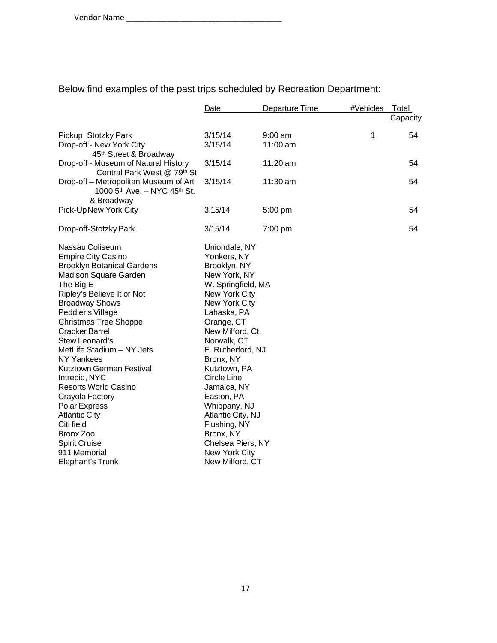Below find examples of the past trips scheduled by Recreation Department:

|                                                                      | Date               | Departure Time | #Vehicles | Total    |
|----------------------------------------------------------------------|--------------------|----------------|-----------|----------|
|                                                                      |                    |                |           | Capacity |
|                                                                      |                    |                |           |          |
| Pickup Stotzky Park                                                  | 3/15/14            | $9:00$ am      | 1         | 54       |
| Drop-off - New York City                                             | 3/15/14            | 11:00 am       |           |          |
| 45th Street & Broadway                                               |                    |                |           |          |
| Drop-off - Museum of Natural History                                 | 3/15/14            | $11:20$ am     |           | 54       |
| Central Park West @ 79th St<br>Drop-off – Metropolitan Museum of Art | 3/15/14            | 11:30 am       |           | 54       |
| 1000 5 <sup>th</sup> Ave. - NYC 45 <sup>th</sup> St.                 |                    |                |           |          |
| & Broadway                                                           |                    |                |           |          |
| Pick-UpNew York City                                                 | 3.15/14            | 5:00 pm        |           | 54       |
|                                                                      |                    |                |           |          |
| Drop-off-Stotzky Park                                                | 3/15/14            | 7:00 pm        |           | 54       |
|                                                                      |                    |                |           |          |
| Nassau Coliseum                                                      | Uniondale, NY      |                |           |          |
| <b>Empire City Casino</b>                                            | Yonkers, NY        |                |           |          |
| <b>Brooklyn Botanical Gardens</b>                                    | Brooklyn, NY       |                |           |          |
| Madison Square Garden                                                | New York, NY       |                |           |          |
| The Big E                                                            | W. Springfield, MA |                |           |          |
| Ripley's Believe It or Not                                           | New York City      |                |           |          |
| <b>Broadway Shows</b>                                                | New York City      |                |           |          |
| Peddler's Village                                                    | Lahaska, PA        |                |           |          |
| <b>Christmas Tree Shoppe</b>                                         | Orange, CT         |                |           |          |
| <b>Cracker Barrel</b>                                                | New Milford, Ct.   |                |           |          |
| Stew Leonard's                                                       | Norwalk, CT        |                |           |          |
| MetLife Stadium - NY Jets                                            | E. Rutherford, NJ  |                |           |          |
| <b>NY Yankees</b>                                                    | Bronx, NY          |                |           |          |
| Kutztown German Festival                                             | Kutztown, PA       |                |           |          |
| Intrepid, NYC                                                        | Circle Line        |                |           |          |
| <b>Resorts World Casino</b>                                          | Jamaica, NY        |                |           |          |
| Crayola Factory                                                      | Easton, PA         |                |           |          |
| Polar Express                                                        | Whippany, NJ       |                |           |          |
| <b>Atlantic City</b>                                                 | Atlantic City, NJ  |                |           |          |
| Citi field                                                           | Flushing, NY       |                |           |          |
| Bronx Zoo                                                            | Bronx, NY          |                |           |          |
| <b>Spirit Cruise</b>                                                 | Chelsea Piers, NY  |                |           |          |
| 911 Memorial                                                         | New York City      |                |           |          |
| Elephant's Trunk                                                     | New Milford, CT    |                |           |          |
|                                                                      |                    |                |           |          |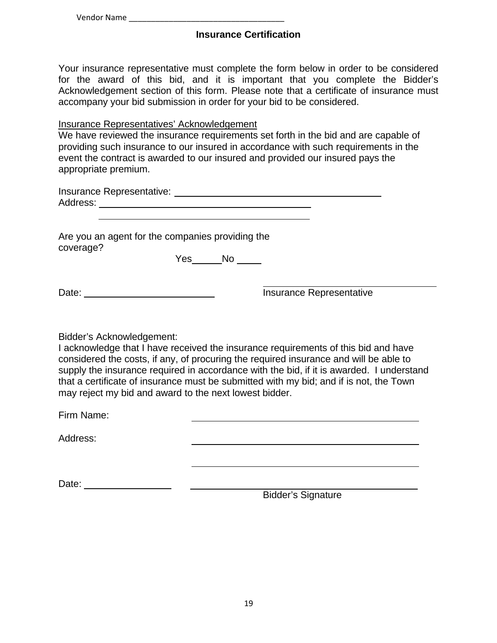Vendor Name

### **Insurance Certification**

Your insurance representative must complete the form below in order to be considered for the award of this bid, and it is important that you complete the Bidder's Acknowledgement section of this form. Please note that a certificate of insurance must accompany your bid submission in order for your bid to be considered.

#### Insurance Representatives' Acknowledgement

We have reviewed the insurance requirements set forth in the bid and are capable of providing such insurance to our insured in accordance with such requirements in the event the contract is awarded to our insured and provided our insured pays the appropriate premium.

| Insurance Representative: |  |
|---------------------------|--|
| Address:                  |  |

Are you an agent for the companies providing the coverage?

Yes No

Date: <u>Insurance Representative</u>

Bidder's Acknowledgement:

Date:

I acknowledge that I have received the insurance requirements of this bid and have considered the costs, if any, of procuring the required insurance and will be able to supply the insurance required in accordance with the bid, if it is awarded. I understand that a certificate of insurance must be submitted with my bid; and if is not, the Town may reject my bid and award to the next lowest bidder.

Firm Name:

Address:

Bidder's Signature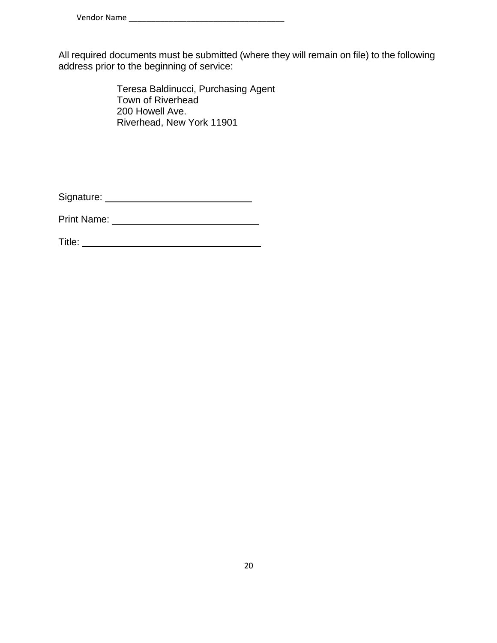All required documents must be submitted (where they will remain on file) to the following address prior to the beginning of service:

> Teresa Baldinucci, Purchasing Agent Town of Riverhead 200 Howell Ave. Riverhead, New York 11901

Signature:

Print Name:

Title: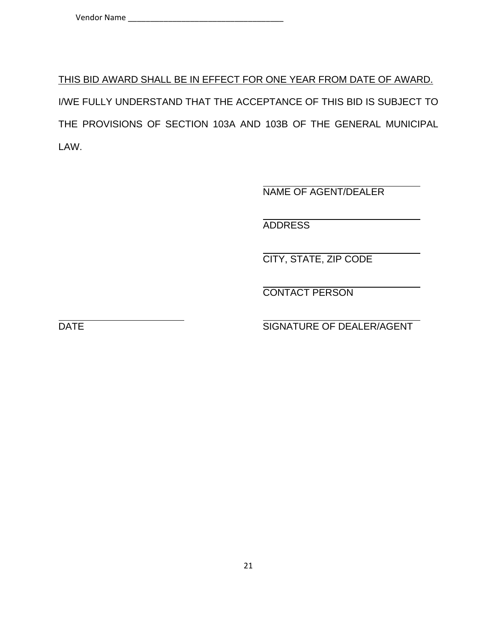THIS BID AWARD SHALL BE IN EFFECT FOR ONE YEAR FROM DATE OF AWARD. I/WE FULLY UNDERSTAND THAT THE ACCEPTANCE OF THIS BID IS SUBJECT TO THE PROVISIONS OF SECTION 103A AND 103B OF THE GENERAL MUNICIPAL LAW.

NAME OF AGENT/DEALER

ADDRESS

CITY, STATE, ZIP CODE

CONTACT PERSON

DATE SIGNATURE OF DEALER/AGENT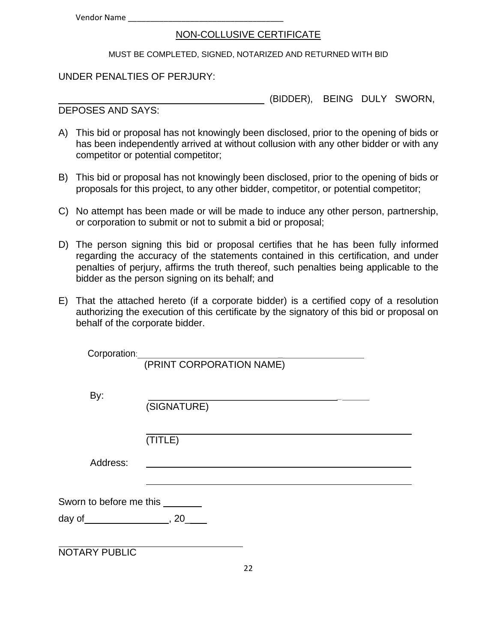Vendor Name

#### NON-COLLUSIVE CERTIFICATE

MUST BE COMPLETED, SIGNED, NOTARIZED AND RETURNED WITH BID

UNDER PENALTIES OF PERJURY:

(BIDDER), BEING DULY SWORN,

DEPOSES AND SAYS:

- A) This bid or proposal has not knowingly been disclosed, prior to the opening of bids or has been independently arrived at without collusion with any other bidder or with any competitor or potential competitor;
- B) This bid or proposal has not knowingly been disclosed, prior to the opening of bids or proposals for this project, to any other bidder, competitor, or potential competitor;
- C) No attempt has been made or will be made to induce any other person, partnership, or corporation to submit or not to submit a bid or proposal;
- D) The person signing this bid or proposal certifies that he has been fully informed regarding the accuracy of the statements contained in this certification, and under penalties of perjury, affirms the truth thereof, such penalties being applicable to the bidder as the person signing on its behalf; and
- E) That the attached hereto (if a corporate bidder) is a certified copy of a resolution authorizing the execution of this certificate by the signatory of this bid or proposal on behalf of the corporate bidder.

| Corporation:                   |                          |
|--------------------------------|--------------------------|
|                                | (PRINT CORPORATION NAME) |
|                                |                          |
| By:                            |                          |
|                                | (SIGNATURE)              |
|                                |                          |
|                                | (TITLE)                  |
| Address:                       |                          |
|                                |                          |
|                                |                          |
| Sworn to before me this ______ |                          |
| day of $\qquad \qquad .20$     |                          |
|                                |                          |
| <b>NOTARY PUBLIC</b>           |                          |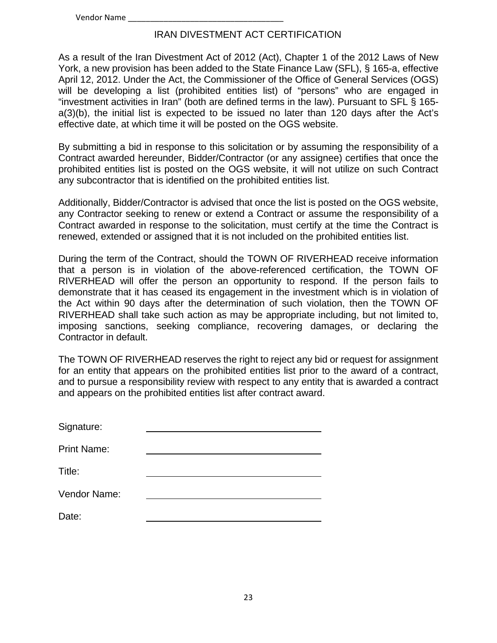#### IRAN DIVESTMENT ACT CERTIFICATION

As a result of the Iran Divestment Act of 2012 (Act), Chapter 1 of the 2012 Laws of New York, a new provision has been added to the State Finance Law (SFL), § 165-a, effective April 12, 2012. Under the Act, the Commissioner of the Office of General Services (OGS) will be developing a list (prohibited entities list) of "persons" who are engaged in "investment activities in Iran" (both are defined terms in the law). Pursuant to SFL § 165 a(3)(b), the initial list is expected to be issued no later than 120 days after the Act's effective date, at which time it will be posted on the OGS website.

By submitting a bid in response to this solicitation or by assuming the responsibility of a Contract awarded hereunder, Bidder/Contractor (or any assignee) certifies that once the prohibited entities list is posted on the OGS website, it will not utilize on such Contract any subcontractor that is identified on the prohibited entities list.

Additionally, Bidder/Contractor is advised that once the list is posted on the OGS website, any Contractor seeking to renew or extend a Contract or assume the responsibility of a Contract awarded in response to the solicitation, must certify at the time the Contract is renewed, extended or assigned that it is not included on the prohibited entities list.

During the term of the Contract, should the TOWN OF RIVERHEAD receive information that a person is in violation of the above-referenced certification, the TOWN OF RIVERHEAD will offer the person an opportunity to respond. If the person fails to demonstrate that it has ceased its engagement in the investment which is in violation of the Act within 90 days after the determination of such violation, then the TOWN OF RIVERHEAD shall take such action as may be appropriate including, but not limited to, imposing sanctions, seeking compliance, recovering damages, or declaring the Contractor in default.

The TOWN OF RIVERHEAD reserves the right to reject any bid or request for assignment for an entity that appears on the prohibited entities list prior to the award of a contract, and to pursue a responsibility review with respect to any entity that is awarded a contract and appears on the prohibited entities list after contract award.

| Signature:         |  |
|--------------------|--|
| <b>Print Name:</b> |  |
| Title:             |  |
| Vendor Name:       |  |
| Date:              |  |